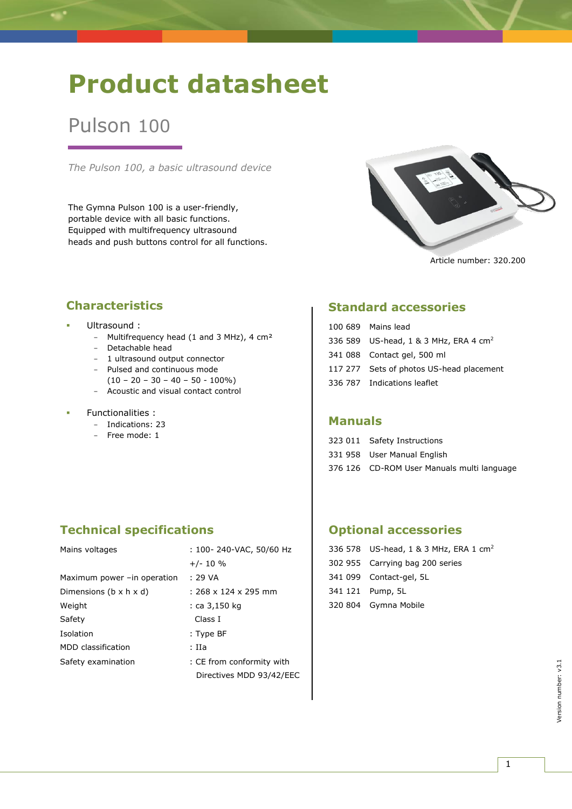# **Product datasheet**

# Pulson 100

*The Pulson 100, a basic ultrasound device*

The Gymna Pulson 100 is a user-friendly, portable device with all basic functions. Equipped with multifrequency ultrasound heads and push buttons control for all functions.



Article number: 320.200

## **Characteristics**

- Ultrasound :
	- Multifrequency head (1 and 3 MHz), 4 cm<sup>2</sup>
	- Detachable head
	- 1 ultrasound output connector
	- Pulsed and continuous mode
	- $(10 20 30 40 50 100\%)$
	- Acoustic and visual contact control
- **Functionalities :** 
	- Indications: 23
	- Free mode: 1

# **Technical specifications**

| Mains voltages                     | : 100-240-VAC, 50/60 Hz   |
|------------------------------------|---------------------------|
|                                    | $+/- 10 \%$               |
| Maximum power - in operation       | : 29 VA                   |
| Dimensions $(b \times h \times d)$ | : 268 x 124 x 295 mm      |
| Weight                             | : ca 3,150 kg             |
| Safety                             | Class I                   |
| Isolation                          | : Type BF                 |
| <b>MDD</b> classification          | : IIa                     |
| Safety examination                 | : CE from conformity with |
|                                    | Directives MDD 93/42/EEC  |

#### **Standard accessories**

| 100 689 Mains lead                                |
|---------------------------------------------------|
| 336 589 US-head, 1 & 3 MHz, ERA 4 cm <sup>2</sup> |
| 341 088 Contact gel, 500 ml                       |
| 117 277 Sets of photos US-head placement          |
| 336 787 Indications leaflet                       |
|                                                   |

#### **Manuals**

| 323 011 Safety Instructions                |
|--------------------------------------------|
| 331 958 User Manual English                |
| 376 126 CD-ROM User Manuals multi language |

### **Optional accessories**

| 336 578 US-head, 1 & 3 MHz, ERA 1 cm <sup>2</sup> |
|---------------------------------------------------|
| 302 955 Carrying bag 200 series                   |
| 341 099 Contact-gel, 5L                           |
| 341 121 Pump, 5L                                  |
| 320 804 Gymna Mobile                              |
|                                                   |